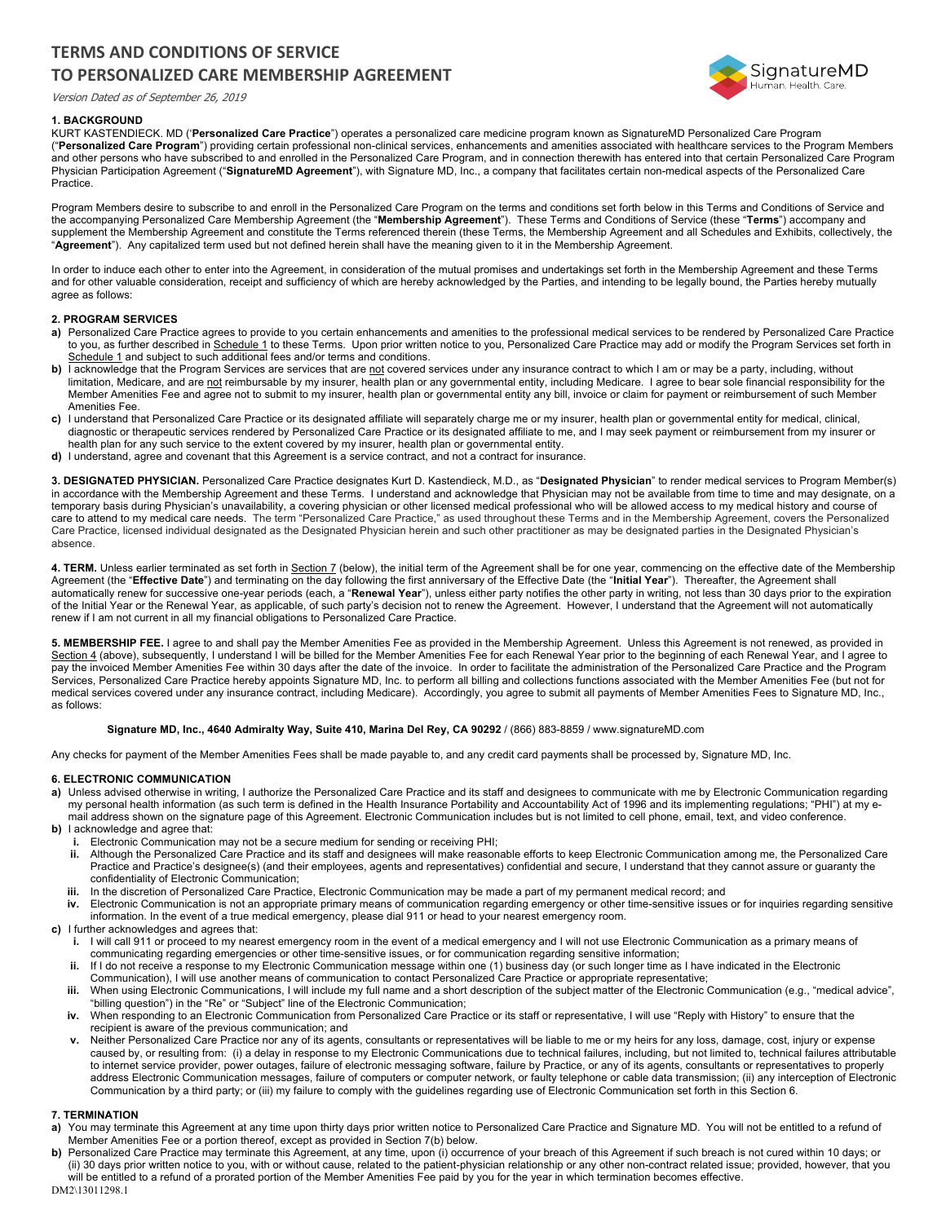# **TERMS AND CONDITIONS OF SERVICE TO PERSONALIZED CARE MEMBERSHIP AGREEMENT**

Version Dated as of September 26, 2019



# **1. BACKGROUND**

KURT KASTENDIECK. MD ('**Personalized Care Practice**") operates a personalized care medicine program known as SignatureMD Personalized Care Program ("**Personalized Care Program**") providing certain professional non-clinical services, enhancements and amenities associated with healthcare services to the Program Members and other persons who have subscribed to and enrolled in the Personalized Care Program, and in connection therewith has entered into that certain Personalized Care Program Physician Participation Agreement ("**SignatureMD Agreement**"), with Signature MD, Inc., a company that facilitates certain non-medical aspects of the Personalized Care Practice.

Program Members desire to subscribe to and enroll in the Personalized Care Program on the terms and conditions set forth below in this Terms and Conditions of Service and the accompanying Personalized Care Membership Agreement (the "**Membership Agreement**"). These Terms and Conditions of Service (these "**Terms**") accompany and supplement the Membership Agreement and constitute the Terms referenced therein (these Terms, the Membership Agreement and all Schedules and Exhibits, collectively, the "**Agreement**"). Any capitalized term used but not defined herein shall have the meaning given to it in the Membership Agreement.

In order to induce each other to enter into the Agreement, in consideration of the mutual promises and undertakings set forth in the Membership Agreement and these Terms and for other valuable consideration, receipt and sufficiency of which are hereby acknowledged by the Parties, and intending to be legally bound, the Parties hereby mutually agree as follows:

## **2. PROGRAM SERVICES**

- a) Personalized Care Practice agrees to provide to you certain enhancements and amenities to the professional medical services to be rendered by Personalized Care Practice to you, as further described in Schedule 1 to these Terms. Upon prior written notice to you, Personalized Care Practice may add or modify the Program Services set forth in Schedule 1 and subject to such additional fees and/or terms and conditions.
- **b)** I acknowledge that the Program Services are services that are not covered services under any insurance contract to which I am or may be a party, including, without limitation, Medicare, and are not reimbursable by my insurer, health plan or any governmental entity, including Medicare. I agree to bear sole financial responsibility for the Member Amenities Fee and agree not to submit to my insurer, health plan or governmental entity any bill, invoice or claim for payment or reimbursement of such Member Amenities Fee.
- **c)** I understand that Personalized Care Practice or its designated affiliate will separately charge me or my insurer, health plan or governmental entity for medical, clinical, diagnostic or therapeutic services rendered by Personalized Care Practice or its designated affiliate to me, and I may seek payment or reimbursement from my insurer or health plan for any such service to the extent covered by my insurer, health plan or governmental entity.
- **d)** I understand, agree and covenant that this Agreement is a service contract, and not a contract for insurance.

**3. DESIGNATED PHYSICIAN.** Personalized Care Practice designates Kurt D. Kastendieck, M.D., as "**Designated Physician**" to render medical services to Program Member(s) in accordance with the Membership Agreement and these Terms. I understand and acknowledge that Physician may not be available from time to time and may designate, on a temporary basis during Physician's unavailability, a covering physician or other licensed medical professional who will be allowed access to my medical history and course of care to attend to my medical care needs. The term "Personalized Care Practice," as used throughout these Terms and in the Membership Agreement, covers the Personalized Care Practice, licensed individual designated as the Designated Physician herein and such other practitioner as may be designated parties in the Designated Physician's absence.

4. TERM. Unless earlier terminated as set forth in Section 7 (below), the initial term of the Agreement shall be for one year, commencing on the effective date of the Membership Agreement (the "**Effective Date**") and terminating on the day following the first anniversary of the Effective Date (the "**Initial Year**"). Thereafter, the Agreement shall automatically renew for successive one-year periods (each, a "**Renewal Year**"), unless either party notifies the other party in writing, not less than 30 days prior to the expiration of the Initial Year or the Renewal Year, as applicable, of such party's decision not to renew the Agreement. However, I understand that the Agreement will not automatically renew if I am not current in all my financial obligations to Personalized Care Practice.

**5. MEMBERSHIP FEE.** I agree to and shall pay the Member Amenities Fee as provided in the Membership Agreement. Unless this Agreement is not renewed, as provided in Section 4 (above), subsequently, I understand I will be billed for the Member Amenities Fee for each Renewal Year prior to the beginning of each Renewal Year, and I agree to pay the invoiced Member Amenities Fee within 30 days after the date of the invoice. In order to facilitate the administration of the Personalized Care Practice and the Program Services, Personalized Care Practice hereby appoints Signature MD, Inc. to perform all billing and collections functions associated with the Member Amenities Fee (but not for medical services covered under any insurance contract, including Medicare). Accordingly, you agree to submit all payments of Member Amenities Fees to Signature MD, Inc., as follows:

## **Signature MD, Inc., 4640 Admiralty Way, Suite 410, Marina Del Rey, CA 90292** / (866) 883-8859 / www.signatureMD.com

Any checks for payment of the Member Amenities Fees shall be made payable to, and any credit card payments shall be processed by, Signature MD, Inc.

#### **6. ELECTRONIC COMMUNICATION**

- a) Unless advised otherwise in writing, I authorize the Personalized Care Practice and its staff and designees to communicate with me by Electronic Communication regarding my personal health information (as such term is defined in the Health Insurance Portability and Accountability Act of 1996 and its implementing regulations; "PHI") at my email address shown on the signature page of this Agreement. Electronic Communication includes but is not limited to cell phone, email, text, and video conference.
- **b)** Lacknowledge and agree that:
	- **i.** Electronic Communication may not be a secure medium for sending or receiving PHI;
	- **ii.** Although the Personalized Care Practice and its staff and designees will make reasonable efforts to keep Electronic Communication among me, the Personalized Care Practice and Practice's designee(s) (and their employees, agents and representatives) confidential and secure, I understand that they cannot assure or guaranty the confidentiality of Electronic Communication;
	- **iii.** In the discretion of Personalized Care Practice, Electronic Communication may be made a part of my permanent medical record; and
	- **iv.** Electronic Communication is not an appropriate primary means of communication regarding emergency or other time-sensitive issues or for inquiries regarding sensitive information. In the event of a true medical emergency, please dial 911 or head to your nearest emergency room.

#### **c)** I further acknowledges and agrees that:

- **i.** I will call 911 or proceed to my nearest emergency room in the event of a medical emergency and I will not use Electronic Communication as a primary means of communicating regarding emergencies or other time-sensitive issues, or for communication regarding sensitive information;
- **ii.** If I do not receive a response to my Electronic Communication message within one (1) business day (or such longer time as I have indicated in the Electronic Communication), I will use another means of communication to contact Personalized Care Practice or appropriate representative;
- When using Electronic Communications, I will include my full name and a short description of the subject matter of the Electronic Communication (e.g., "medical advice", "billing question") in the "Re" or "Subject" line of the Electronic Communication;
- **iv.** When responding to an Electronic Communication from Personalized Care Practice or its staff or representative, I will use "Reply with History" to ensure that the recipient is aware of the previous communication; and
- **v.** Neither Personalized Care Practice nor any of its agents, consultants or representatives will be liable to me or my heirs for any loss, damage, cost, injury or expense caused by, or resulting from: (i) a delay in response to my Electronic Communications due to technical failures, including, but not limited to, technical failures attributable to internet service provider, power outages, failure of electronic messaging software, failure by Practice, or any of its agents, consultants or representatives to properly address Electronic Communication messages, failure of computers or computer network, or faulty telephone or cable data transmission; (ii) any interception of Electronic Communication by a third party; or (iii) my failure to comply with the guidelines regarding use of Electronic Communication set forth in this Section 6.

# **7. TERMINATION**

- a) You may terminate this Agreement at any time upon thirty days prior written notice to Personalized Care Practice and Signature MD. You will not be entitled to a refund of Member Amenities Fee or a portion thereof, except as provided in Section 7(b) below.
- **b)** Personalized Care Practice may terminate this Agreement, at any time, upon (i) occurrence of your breach of this Agreement if such breach is not cured within 10 days; or (ii) 30 days prior written notice to you, with or without cause, related to the patient-physician relationship or any other non-contract related issue; provided, however, that you will be entitled to a refund of a prorated portion of the Member Amenities Fee paid by you for the year in which termination becomes effective.

DM2\13011298.1